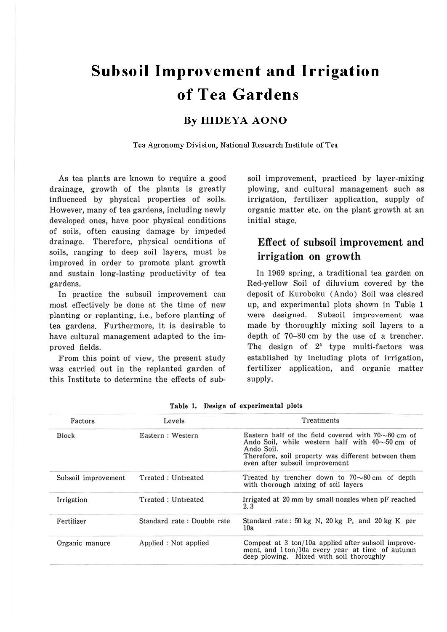# **Subsoil Improvement and Irrigation of Tea Gardens**

## **By HIDEYA AONO**

**Tea Agronomy Division, National Research Institute of Tea** 

As tea plants are known to require a good drainage, growth of the plants is greatly influenced by physical properties of soils. However, many of tea gardens, including newly developed ones, have poor physical conditions of soils, often causing damage by impeded drainage. Therefore, physical ocnditions of soils, ranging to deep soil layers, must be improved in order to promote plant growth and sustain long-lasting productivity of tea gardens.

In practice the subsoil improvement can most effectively be done at the time of new planting or replanting, i.e., before planting of tea gardens. Furthermore, it is desirable to have cultural management adapted to the improved fields.

From this point of view, the present study was carried out in the replanted garden of this Institute to determine the effects of subsoil improvement, practiced by layer-mixing plowing, and cultural management such as irrigation, fertilizer application, supply of organic matter etc. on the plant growth at an initial stage.

## Effect of subsoil improvement and irrigation on growth

In 1969 spring, a traditional tea garden on Red-yellow Soil of diluvium covered by the deposit of Kuroboku (Ando) Soil was cleared up, and experimental plots shown in Table 1 were designed. Subsoil improvement was made by thoroughly mixing soil layers to a depth of 70-80 cm by the use of a trencher. The design of  $2<sup>5</sup>$  type multi-factors was established by including plots of irrigation, fertilizer application, and organic matter supply.

| Factors             | Levels                     | Treatments                                                                                                                                                                                                             |
|---------------------|----------------------------|------------------------------------------------------------------------------------------------------------------------------------------------------------------------------------------------------------------------|
| <b>Block</b>        | Eastern: Western           | Eastern half of the field covered with $70\sim80$ cm of<br>Ando Soil, while western half with $40\sim 50$ cm of<br>Ando Soil.<br>Therefore, soil property was different between them<br>even after subsoil improvement |
| Subsoil improvement | Treated: Untreated         | Treated by trencher down to $70\sim80$ cm of depth<br>with thorough mixing of soil layers                                                                                                                              |
| Irrigation          | Treated: Untreated         | Irrigated at 20 mm by small nozzles when pF reached<br>2.3                                                                                                                                                             |
| Fertilizer          | Standard rate: Double rate | Standard rate: 50 kg N, 20 kg P, and 20 kg K per<br>10a                                                                                                                                                                |
| Organic manure      | Applied : Not applied      | Compost at 3 ton/10a applied after subsoil improve-<br>ment, and 1ton/10a every year at time of autumn<br>deep plowing. Mixed with soil thoroughly                                                                     |

**Table 1. Design of experimental plots**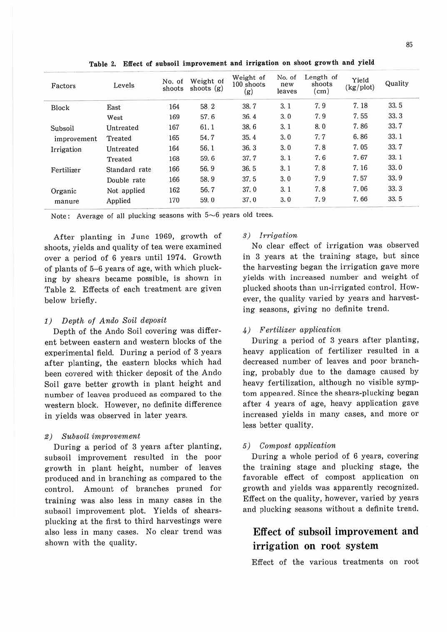| Factors     | Levels        | No. of<br>shoots | Weight of<br>shoots $(g)$ | Weight of<br>100 shoots<br>(g) | No. of<br>new<br>leaves | Length of<br>shoots<br>$\rm (cm)$ | Yield<br>(kg/plot) | Quality |  |
|-------------|---------------|------------------|---------------------------|--------------------------------|-------------------------|-----------------------------------|--------------------|---------|--|
| Block       | East          | 164              | 58.2                      | 38.7                           | 3.1                     | 7.9                               | 7.18               | 33.5    |  |
|             | West          | 169              | 57.6                      | 36.4                           | 3.0                     | 7.9                               | 7.55               | 33.3    |  |
| Subsoil     | Untreated     | 167              | 61.1                      | 38.6                           | 3, 1                    | 8.0                               | 7.86               | 33.7    |  |
| improvement | Treated       | 165              | 54.7                      | 35.4                           | 3.0                     | 7,7                               | 6.86               | 33.1    |  |
| Irrigation  | Untreated     | 164              | 56.1                      | 36.3                           | 3.0                     | 7.8                               | 7.05               | 33.7    |  |
|             | Treated       | 168              | 59.6                      | 37.7                           | 3.1                     | 7.6                               | 7.67               | 33.1    |  |
| Fertilizer  | Standard rate | 166              | 56.9                      | 36.5                           | 3.1                     | 7.8                               | 7.16               | 33.0    |  |
|             | Double rate   | 166              | 58.9                      | 37.5                           | 3.0                     | 7.9                               | 7.57               | 33.9    |  |
| Organic     | Not applied   | 162              | 56.7                      | 37.0                           | 3.1                     | 7.8                               | 7.06               | 33.3    |  |
| manure      | Applied       | 170              | 59.0                      | 37.0                           | 3.0                     | 7.9                               | 7.66               | 33.5    |  |

**Table 2. Effect of subsoil improvement and irrigation on shoot growth and yield** 

Note: Average of all plucking seasons with  $5~6$  years old trees.

After planting in June 1969, growth of shoots, yields and quality of tea were examined over a period of 6 years until 1974. Growth of plants of 5-6 years of age, with which plucking by shears became possible, is shown in Table 2. Effects of each treatment are given below briefly.

#### 1) Depth of Ando Soil deposit

Depth of the Ando Soil covering was different between eastern and western blocks of the experimental field. During a period of 3 years after planting, the eastern blocks which had been covered with thicker deposit of the Ando Soil gave better growth in plant height and number of leaves produced as compared to the western block. However, no definite difference in yields was observed in later years.

#### 2) Subsoil improvement

During a period of 3 years after planting, subsoil improvement resulted in the poor growth in plant height, number of leaves produced and in branching as compared to the control. Amount of branches pruned for training was also less in many cases in the subsoil improvement plot. Yields of shearsplucking at the first to third harvestings were also less in many cases. No clear trend was shown with the quality.

#### 3) Irrigation

No clear effect of irrigation was observed in 3 years at the training stage, but since the harvesting began the irrigation gave more yields with increased number and weight of plucked shoots than un-irrigated control. However, the quality varied by years and harvesting seasons, giving no definite trend.

#### 4) Fertilizer application

During a period of 3 years after planting, heavy application of fertilizer resulted in a decreased number of leaves and poor branching, probably due to the damage caused by heavy fertilization, although no visible symptom appeared. Since the shears-plucking began after 4 years of age, heavy application gave increased yields in many cases, and more or less better quality.

#### 5) Compost application

During a whole period of 6 years, covering the training stage and plucking stage, the favorable effect of compost application on growth and yields was apparently recognized. Effect on the quality, however, varied by years and plucking seasons without a definite trend.

# Effect of subsoil improvement and irrigation on root system

Effect of the various treatments on root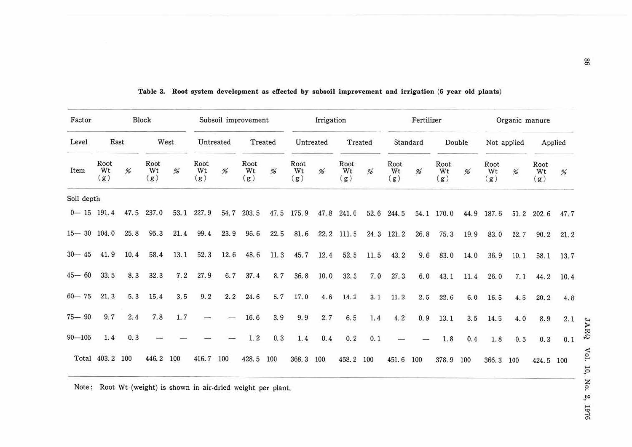| Factor                    | Block             |      |                   |      | Subsoil improvement |           |                   | Irrigation |                       |           | Fertilizer        |         |                   |                 | Organic manure    |        |                            |                  |                   |           |
|---------------------------|-------------------|------|-------------------|------|---------------------|-----------|-------------------|------------|-----------------------|-----------|-------------------|---------|-------------------|-----------------|-------------------|--------|----------------------------|------------------|-------------------|-----------|
| Level                     | East              |      |                   | West |                     | Untreated |                   | Treated    |                       | Untreated |                   | Treated |                   | Standard        |                   | Double |                            | Not applied      |                   | Applied   |
| Item                      | Root<br>Wt<br>(g) | %    | Root<br>Wt<br>(g) | %    | Root<br>Wt<br>(g)   | %         | Root<br>Wt<br>(g) | %          | Root<br>Wt<br>(g)     | %         | Root<br>Wt<br>(g) | %       | Root<br>Wt<br>(g) | $% \mathcal{A}$ | Root<br>Wt<br>(g) | %      | Root<br>Wt<br>(g)          | $% \overline{a}$ | Root<br>Wt<br>(g) | %         |
| Soil depth                |                   |      |                   |      |                     |           |                   |            |                       |           |                   |         |                   |                 |                   |        |                            |                  |                   |           |
| $0 - 15$ 191.4 47.5 237.0 |                   |      |                   |      | 53.1 227.9          | 54.7      | 203.5             |            | 47.5 175.9 47.8 241.0 |           |                   |         | 52.6 244.5        |                 | 54.1 170.0        |        | 44.9 187.6 51.2 202.6 47.7 |                  |                   |           |
| $15 - 30$ 104.0           |                   | 25.8 | 95.3              | 21.4 | 99.4                | 23.9      | 96.6              | 22.5       |                       |           | 81.6 22.2 111.5   |         | 24.3 121.2        | 26.8            | 75.3              | 19.9   | 83.0                       | 22.7             | 90.2              | 21.2      |
| $30 - 45$                 | 41.9              | 10.4 | 58.4              | 13.1 | 52.3                | 12.6      | 48.6              | 11.3       | 45.7                  | 12.4      | 52.5              | 11.5    | 43.2              | 9,6             | 83.0              | 14.0   | 36.9                       | 10.1             |                   | 58.1 13.7 |
| $45 - 60$                 | 33.5              | 8.3  | 32.3              | 7.2  | 27.9                | 6.7       | 37.4              | 8.7        | 36.8                  | 10.0      | 32.3              | 7.0     | 27.3              | 6.0             | 43.1              | 11.4   | 26.0                       | 7.1              | 44.2              | 10.4      |
| $60 - 75$                 | 21.3              | 5.3  | 15.4              | 3.5  | 9.2                 | 2.2       | 24.6              | 5.7        | 17.0                  | 4.6       | 14.2              | 3.1     | 11.2              | 2.5             | 22.6              | 6.0    | 16.5                       | 4.5              | 20.2              | 4.8       |
| $75 - 90$                 | 9.7               | 2.4  | 7.8               | 1.7  |                     |           | 16.6              | 3.9        | 9.9                   | 2,7       | 6.5               | 1.4     | 4.2               | 0.9             | 13.1              | 3.5    | 14.5                       | 4.0              | 8.9               | 2.1       |
| $90 - 105$                | 1.4               | 0.3  |                   |      |                     |           | 1.2               | 0.3        | 1.4                   | 0.4       | 0.2               | 0.1     |                   |                 | 1.8               | 0.4    | 1.8                        | 0.5              | 0.3               | 0.1       |
|                           | Total 403.2 100   |      | 446.2             | 100  | 416.7 100           |           | 428.5             | 100        | 368.3 100             |           | 458.2             | 100     | 451.6             | 100             | 378.9             | 100    | 366.3 100                  |                  | 424.5 100         |           |

#### **Table 3. Root system development as effected by subsoil improvement and irrigation (6 year old plants)**

Note: Root Wt (weight) is shown in air-dried weight per plant.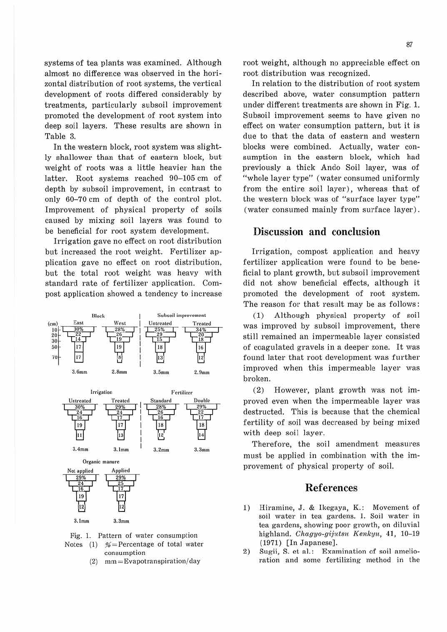systems of tea plants was examined. Although almost no difference was observed in the horizontal distribution of root systems, the vertical development of roots differed considerably by treatments, particularly subsoil improvement promoted the development of root system into deep soil layers. These results are shown in Table 3.

In the western block, root system was slightly shallower than that of eastern block, but weight of roots was a little heavier han the latter. Root systems reached 90-105 cm of depth by subsoil improvement, in contrast to only 60-70 cm of depth of the control plot. Improvement of physical property of soils caused by mixing soil layers was found to be beneficial for root system development.

Irrigation gave no effect on root distribution but increased the root weight. Fertilizer application gave no effect on root distribution, but the total root weight was heavy with standard rate of fertilizer application. Compost application showed a tendency to increase



Fig. l. Pattern of water consumption Notes (1)  $%$  = Percentage of total water consumption

(2) mm= Evapotranspiration/ day

root weight, although no appreciable effect on root distribution was recognized.

In relation to the distribution of root system described above, water consumption pattern under different treatments are shown in Fig. 1. Subsoil improvement seems to have given no effect on water consumption pattern, but it is due to that the data of eastern and western blocks were combined. Actually, water consumption in the eastern block, which had previously a thick Ando Soil layer, was of "whole layer type" (water consumed uniformly from the entire soil layer), whereas that of the western block was of "surface layer type" (water consumed mainly from surface layer) .

## **Discussion and conclusion**

Irrigation, compost application and heavy fertilizer application were found to be beneficial to plant growth, but subsoil improvement did not show beneficial effects, although it promoted the development of root system. The reason for that result may be as follows:

(1) Although physical property of soil was improved by subsoil improvement, there still remained an impermeable layer consisted of coagulated gravels in a deeper zone. It was found later that root development was further improved when this impermeable layer was broken.

(2) However, plant growth was not improved even when the impermeable layer was destructed. This is because that the chemical fertility of soil was decreased by being mixed with deep soil layer.

Therefore, the soil amendment measures must be applied in combination with the improvement of physical property of soil.

## **References**

- 1) Hiramine, J. & Ikegaya, K.: Movement of soil water in tea gardens. I. Soil water in tea gardens, showing poor growth, on diluvial highland. *Chagyo-gijutsu Kenkyu*, 41, 10-19 (1971) [In Japanese].
- 2) Sugii, S. et al.: Examination of soil amelioration and some fertilizing method in the